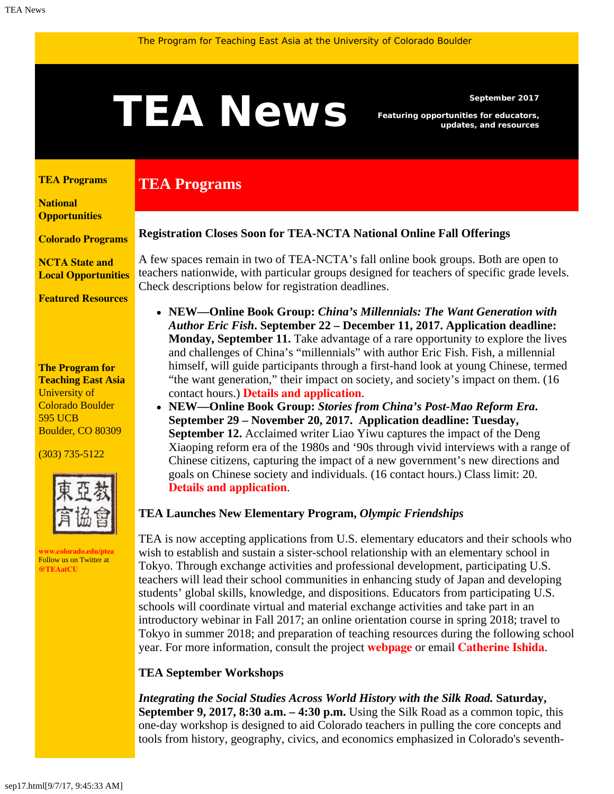# <span id="page-0-1"></span>September 2017<br>**TEAN EWS** Featuring opportunities for educators,<br>updates, and resources

**TEA Programs**

*Featuring opportunities for educators, updates, and resources*

#### <span id="page-0-0"></span>**[TEA Programs](#page-0-0)**

**[National](#page-0-1)  [Opportunities](#page-0-1)**

**[Colorado Programs](#page-0-1)**

**[NCTA State and](#page-2-0) [Local Opportunities](#page-2-0)**

**[Featured Resources](#page-3-0)**

#### **The Program for Teaching East Asia** University of Colorado Boulder 595 UCB Boulder, CO 80309

(303) 735-5122



**[www.colorado.edu/ptea](http://www.colorado.edu/cas/tea)** Follow us on Twitter at **[@TEAatCU](https://twitter.com/TEAatCU)**

#### **Registration Closes Soon for TEA-NCTA National Online Fall Offerings**

A few spaces remain in two of TEA-NCTA's fall online book groups. Both are open to teachers nationwide, with particular groups designed for teachers of specific grade levels. Check descriptions below for registration deadlines.

- **NEW—Online Book Group:** *China's Millennials: The Want Generation with Author Eric Fish***. September 22 – December 11, 2017. Application deadline: Monday, September 11.** Take advantage of a rare opportunity to explore the lives and challenges of China's "millennials" with author Eric Fish. Fish, a millennial himself, will guide participants through a first-hand look at young Chinese, termed "the want generation," their impact on society, and society's impact on them. (16 contact hours.) **[Details and application](http://www.colorado.edu/ptea/sites/default/files/attached-files/fishchinamillennials_flyer_fall2017.pdf)**.
- **NEW—Online Book Group:** *Stories from China's Post-Mao Reform Era***. September 29 – November 20, 2017. Application deadline: Tuesday, September 12.** Acclaimed writer Liao Yiwu captures the impact of the Deng Xiaoping reform era of the 1980s and '90s through vivid interviews with a range of Chinese citizens, capturing the impact of a new government's new directions and goals on Chinese society and individuals. (16 contact hours.) Class limit: 20. **[Details and application](http://www.colorado.edu/ptea/sites/default/files/attached-files/stories-from-post-mao_0.pdf)**.

# **TEA Launches New Elementary Program,** *Olympic Friendships*

TEA is now accepting applications from U.S. elementary educators and their schools who wish to establish and sustain a sister-school relationship with an elementary school in Tokyo. Through exchange activities and professional development, participating U.S. teachers will lead their school communities in enhancing study of Japan and developing students' global skills, knowledge, and dispositions. Educators from participating U.S. schools will coordinate virtual and material exchange activities and take part in an introductory webinar in Fall 2017; an online orientation course in spring 2018; travel to Tokyo in summer 2018; and preparation of teaching resources during the following school year. For more information, consult the project **[webpage](http://www.colorado.edu/ptea/programs/teaching-east-asia-japan/olympic-friendships-elementary-education-global-competency-japan)** or email **[Catherine Ishida](mailto:catherine.ishida@colorado.edu)**.

# **TEA September Workshops**

*Integrating the Social Studies Across World History with the Silk Road.* **Saturday, September 9, 2017, 8:30 a.m. – 4:30 p.m.** Using the Silk Road as a common topic, this one-day workshop is designed to aid Colorado teachers in pulling the core concepts and tools from history, geography, civics, and economics emphasized in Colorado's seventh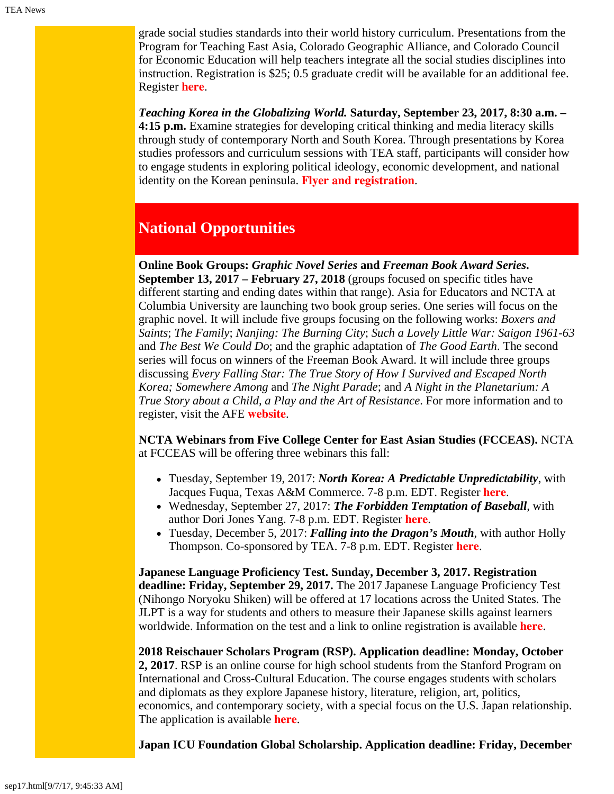grade social studies standards into their world history curriculum. Presentations from the Program for Teaching East Asia, Colorado Geographic Alliance, and Colorado Council for Economic Education will help teachers integrate all the social studies disciplines into instruction. Registration is \$25; 0.5 graduate credit will be available for an additional fee. Register **[here](http://www.ccee.net/integrating-social-studies)**.

*Teaching Korea in the Globalizing World.* **Saturday, September 23, 2017, 8:30 a.m. – 4:15 p.m.** Examine strategies for developing critical thinking and media literacy skills through study of contemporary North and South Korea. Through presentations by Korea studies professors and curriculum sessions with TEA staff, participants will consider how to engage students in exploring political ideology, economic development, and national identity on the Korean peninsula. **[Flyer and registration](http://www.colorado.edu/ptea/sites/default/files/attached-files/korea92317flyer2.pdf)**.

# **National Opportunities**

**Online Book Groups:** *Graphic Novel Series* **and** *Freeman Book Award Series***. September 13, 2017 – February 27, 2018** (groups focused on specific titles have different starting and ending dates within that range). Asia for Educators and NCTA at Columbia University are launching two book group series. One series will focus on the graphic novel. It will include five groups focusing on the following works: *Boxers and Saints*; *The Family*; *Nanjing: The Burning City*; *Such a Lovely Little War: Saigon 1961-63* and *The Best We Could Do*; and the graphic adaptation of *The Good Earth*. The second series will focus on winners of the Freeman Book Award. It will include three groups discussing *Every Falling Star: The True Story of How I Survived and Escaped North Korea; Somewhere Among* and *The Night Parade*; and *A Night in the Planetarium: A True Story about a Child, a Play and the Art of Resistance*. For more information and to register, visit the AFE **[website](http://afe.easia.columbia.edu/online_course/)**.

**NCTA Webinars from Five College Center for East Asian Studies (FCCEAS).** NCTA at FCCEAS will be offering three webinars this fall:

- Tuesday, September 19, 2017: *North Korea: A Predictable Unpredictability*, with Jacques Fuqua, Texas A&M Commerce. 7-8 p.m. EDT. Register **[here](https://register.gotowebinar.com/register/3327748192533220610)**.
- Wednesday, September 27, 2017: *The Forbidden Temptation of Baseball*, with author Dori Jones Yang. 7-8 p.m. EDT. Register **[here](https://register.gotowebinar.com/register/8385275180906656002)**.
- Tuesday, December 5, 2017: *Falling into the Dragon's Mouth*, with author Holly Thompson. Co-sponsored by TEA. 7-8 p.m. EDT. Register **[here](https://register.gotowebinar.com/register/1324661207584911618)**.

**Japanese Language Proficiency Test. Sunday, December 3, 2017. Registration deadline: Friday, September 29, 2017.** The 2017 Japanese Language Proficiency Test (Nihongo Noryoku Shiken) will be offered at 17 locations across the United States. The JLPT is a way for students and others to measure their Japanese skills against learners worldwide. Information on the test and a link to online registration is available **[here](https://www.aatj.org/jlpt-us)**.

**2018 Reischauer Scholars Program (RSP). Application deadline: Monday, October 2, 2017**. RSP is an online course for high school students from the Stanford Program on International and Cross-Cultural Education. The course engages students with scholars and diplomats as they explore Japanese history, literature, religion, art, politics, economics, and contemporary society, with a special focus on the U.S. Japan relationship. The application is available **[here](http://spice.fsi.stanford.edu/fellowships/reischauer_scholars_program)**.

**Japan ICU Foundation Global Scholarship. Application deadline: Friday, December**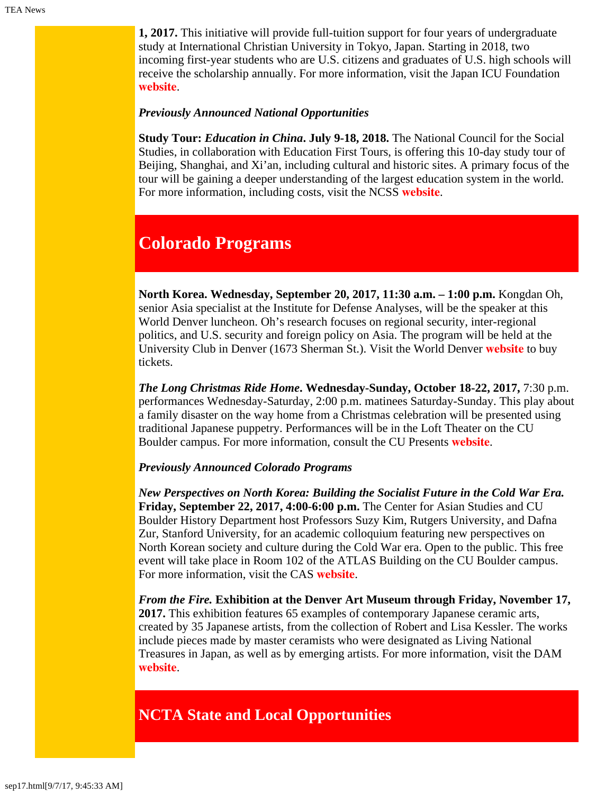**1, 2017.** This initiative will provide full-tuition support for four years of undergraduate study at International Christian University in Tokyo, Japan. Starting in 2018, two incoming first-year students who are U.S. citizens and graduates of U.S. high schools will receive the scholarship annually. For more information, visit the Japan ICU Foundation **[website](http://jicuf.org/ussi)**.

## *Previously Announced National Opportunities*

**Study Tour:** *Education in China***. July 9-18, 2018.** The National Council for the Social Studies, in collaboration with Education First Tours, is offering this 10-day study tour of Beijing, Shanghai, and Xi'an, including cultural and historic sites. A primary focus of the tour will be gaining a deeper understanding of the largest education system in the world. For more information, including costs, visit the NCSS **[website](http://www.socialstudies.org/professional-learning/tours)**.

# **Colorado Programs**

**North Korea. Wednesday, September 20, 2017, 11:30 a.m. – 1:00 p.m.** Kongdan Oh, senior Asia specialist at the Institute for Defense Analyses, will be the speaker at this World Denver luncheon. Oh's research focuses on regional security, inter-regional politics, and U.S. security and foreign policy on Asia. The program will be held at the University Club in Denver (1673 Sherman St.). Visit the World Denver **[website](http://www.worlddenver.org/event-2638048)** to buy tickets.

*The Long Christmas Ride Home***. Wednesday-Sunday, October 18-22, 2017,** 7:30 p.m. performances Wednesday-Saturday, 2:00 p.m. matinees Saturday-Sunday. This play about a family disaster on the way home from a Christmas celebration will be presented using traditional Japanese puppetry. Performances will be in the Loft Theater on the CU Boulder campus. For more information, consult the CU Presents **[website](https://cupresents.org/event/1353/the-long-christmas-ride-home)**.

## *Previously Announced Colorado Programs*

*New Perspectives on North Korea: Building the Socialist Future in the Cold War Era.* **Friday, September 22, 2017, 4:00-6:00 p.m.** The Center for Asian Studies and CU Boulder History Department host Professors Suzy Kim, Rutgers University, and Dafna Zur, Stanford University, for an academic colloquium featuring new perspectives on North Korean society and culture during the Cold War era. Open to the public. This free event will take place in Room 102 of the ATLAS Building on the CU Boulder campus. For more information, visit the CAS **[website](http://www.colorado.edu/cas/new-perspectives-north-korea-building-socialist-future-cold-war-era-20170922)**.

*From the Fire.* **Exhibition at the Denver Art Museum through Friday, November 17, 2017.** This exhibition features 65 examples of contemporary Japanese ceramic arts, created by 35 Japanese artists, from the collection of Robert and Lisa Kessler. The works include pieces made by master ceramists who were designated as Living National Treasures in Japan, as well as by emerging artists. For more information, visit the DAM **[website](http://denverartmuseum.org/exhibitions/from-the-fire-japanese-ceramics)**.

# <span id="page-2-0"></span>**NCTA State and Local Opportunities**